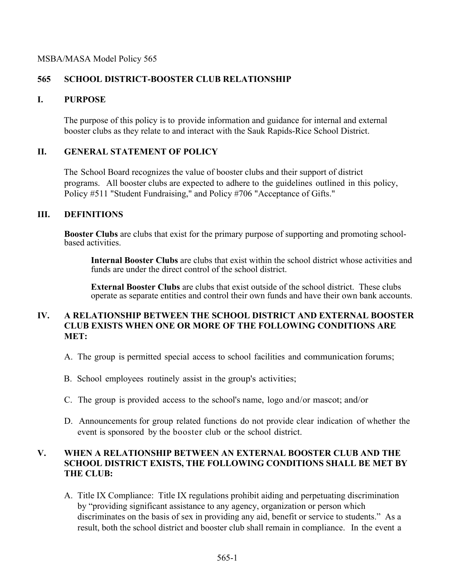#### MSBA/MASA Model Policy 565

# **565 SCHOOL DISTRICT-BOOSTER CLUB RELATIONSHIP**

## **I. PURPOSE**

The purpose of this policy is to provide information and guidance for internal and external booster clubs as they relate to and interact with the Sauk Rapids-Rice School District.

## **II. GENERAL STATEMENT OF POLICY**

The School Board recognizes the value of booster clubs and their support of district programs. All booster clubs are expected to adhere to the guidelines outlined in this policy, Policy #511 "Student Fundraising," and Policy #706 "Acceptance of Gifts."

#### **III. DEFINITIONS**

**Booster Clubs** are clubs that exist for the primary purpose of supporting and promoting school- based activities.

**Internal Booster Clubs** are clubs that exist within the school district whose activities and funds are under the direct control of the school district.

**External Booster Clubs** are clubs that exist outside of the school district. These clubs operate as separate entities and control their own funds and have their own bank accounts.

## **IV. A RELATIONSHIP BETWEEN THE SCHOOL DISTRICT AND EXTERNAL BOOSTER CLUB EXISTS WHEN ONE OR MORE OF THE FOLLOWING CONDITIONS ARE MET:**

- A. The group is permitted special access to school facilities and communication forums;
- B. School employees routinely assist in the group's activities;
- C. The group is provided access to the school's name, logo and/or mascot; and/or
- D. Announcements for group related functions do not provide clear indication of whether the event is sponsored by the booster club or the school district.

## **V. WHEN A RELATIONSHIP BETWEEN AN EXTERNAL BOOSTER CLUB AND THE SCHOOL DISTRICT EXISTS, THE FOLLOWING CONDITIONS SHALL BE MET BY THE CLUB:**

A. Title IX Compliance: Title IX regulations prohibit aiding and perpetuating discrimination by "providing significant assistance to any agency, organization or person which discriminates on the basis of sex in providing any aid, benefit or service to students." As a result, both the school district and booster club shall remain in compliance. In the event a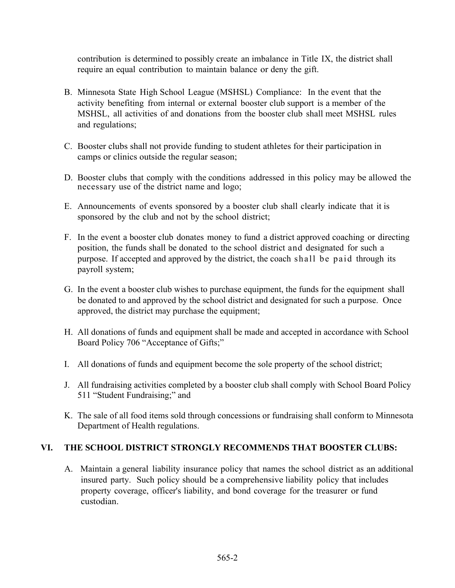contribution is determined to possibly create an imbalance in Title IX, the district shall require an equal contribution to maintain balance or deny the gift.

- B. Minnesota State High School League (MSHSL) Compliance: In the event that the activity benefiting from internal or external booster club support is a member of the MSHSL, all activities of and donations from the booster club shall meet MSHSL rules and regulations;
- C. Booster clubs shall not provide funding to student athletes for their participation in camps or clinics outside the regular season;
- D. Booster clubs that comply with the conditions addressed in this policy may be allowed the necessary use of the district name and logo;
- E. Announcements of events sponsored by a booster club shall clearly indicate that it is sponsored by the club and not by the school district;
- F. In the event a booster club donates money to fund a district approved coaching or directing position, the funds shall be donated to the school district and designated for such a purpose. If accepted and approved by the district, the coach shall be paid through its payroll system;
- G. In the event a booster club wishes to purchase equipment, the funds for the equipment shall be donated to and approved by the school district and designated for such a purpose. Once approved, the district may purchase the equipment;
- H. All donations of funds and equipment shall be made and accepted in accordance with School Board Policy 706 "Acceptance of Gifts;"
- I. All donations of funds and equipment become the sole property of the school district;
- J. All fundraising activities completed by a booster club shall comply with School Board Policy 511 "Student Fundraising;" and
- K. The sale of all food items sold through concessions or fundraising shall conform to Minnesota Department of Health regulations.

# **VI. THE SCHOOL DISTRICT STRONGLY RECOMMENDS THAT BOOSTER CLUBS:**

A. Maintain a general liability insurance policy that names the school district as an additional insured party. Such policy should be a comprehensive liability policy that includes property coverage, officer's liability, and bond coverage for the treasurer or fund custodian.